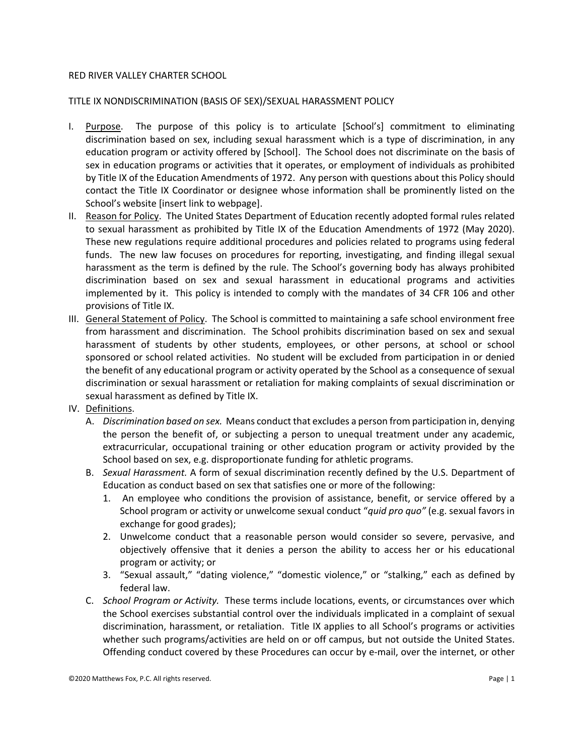## RED RIVER VALLEY CHARTER SCHOOL

## TITLE IX NONDISCRIMINATION (BASIS OF SEX)/SEXUAL HARASSMENT POLICY

- I. Purpose. The purpose of this policy is to articulate [School's] commitment to eliminating discrimination based on sex, including sexual harassment which is a type of discrimination, in any education program or activity offered by [School]. The School does not discriminate on the basis of sex in education programs or activities that it operates, or employment of individuals as prohibited by Title IX of the Education Amendments of 1972. Any person with questions about this Policy should contact the Title IX Coordinator or designee whose information shall be prominently listed on the School's website [insert link to webpage].
- II. Reason for Policy. The United States Department of Education recently adopted formal rules related to sexual harassment as prohibited by Title IX of the Education Amendments of 1972 (May 2020). These new regulations require additional procedures and policies related to programs using federal funds. The new law focuses on procedures for reporting, investigating, and finding illegal sexual harassment as the term is defined by the rule. The School's governing body has always prohibited discrimination based on sex and sexual harassment in educational programs and activities implemented by it. This policy is intended to comply with the mandates of 34 CFR 106 and other provisions of Title IX.
- III. General Statement of Policy. The School is committed to maintaining a safe school environment free from harassment and discrimination. The School prohibits discrimination based on sex and sexual harassment of students by other students, employees, or other persons, at school or school sponsored or school related activities. No student will be excluded from participation in or denied the benefit of any educational program or activity operated by the School as a consequence of sexual discrimination or sexual harassment or retaliation for making complaints of sexual discrimination or sexual harassment as defined by Title IX.
- IV. Definitions.
	- A. *Discrimination based on sex.* Means conduct that excludes a person from participation in, denying the person the benefit of, or subjecting a person to unequal treatment under any academic, extracurricular, occupational training or other education program or activity provided by the School based on sex, e.g. disproportionate funding for athletic programs.
	- B. *Sexual Harassment.* A form of sexual discrimination recently defined by the U.S. Department of Education as conduct based on sex that satisfies one or more of the following:
		- 1. An employee who conditions the provision of assistance, benefit, or service offered by a School program or activity or unwelcome sexual conduct "*quid pro quo"* (e.g. sexual favors in exchange for good grades);
		- 2. Unwelcome conduct that a reasonable person would consider so severe, pervasive, and objectively offensive that it denies a person the ability to access her or his educational program or activity; or
		- 3. "Sexual assault," "dating violence," "domestic violence," or "stalking," each as defined by federal law.
	- C. *School Program or Activity.* These terms include locations, events, or circumstances over which the School exercises substantial control over the individuals implicated in a complaint of sexual discrimination, harassment, or retaliation. Title IX applies to all School's programs or activities whether such programs/activities are held on or off campus, but not outside the United States. Offending conduct covered by these Procedures can occur by e-mail, over the internet, or other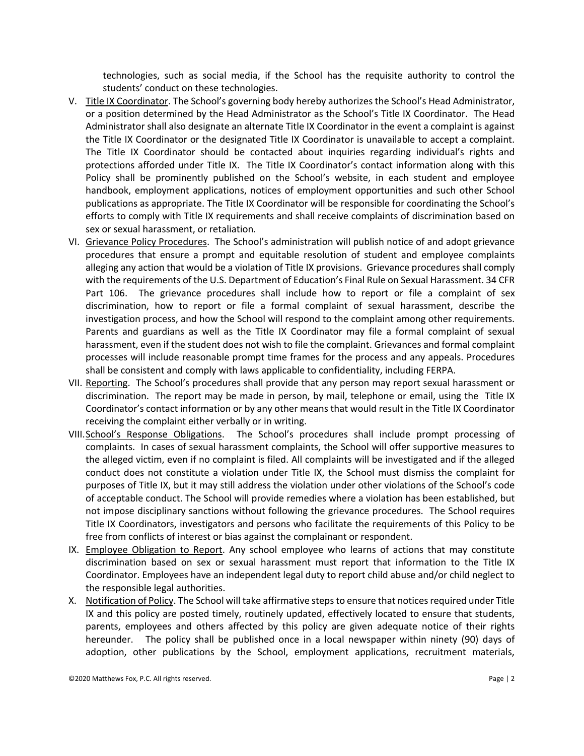technologies, such as social media, if the School has the requisite authority to control the students' conduct on these technologies.

- V. Title IX Coordinator. The School's governing body hereby authorizes the School's Head Administrator, or a position determined by the Head Administrator as the School's Title IX Coordinator. The Head Administrator shall also designate an alternate Title IX Coordinator in the event a complaint is against the Title IX Coordinator or the designated Title IX Coordinator is unavailable to accept a complaint. The Title IX Coordinator should be contacted about inquiries regarding individual's rights and protections afforded under Title IX. The Title IX Coordinator's contact information along with this Policy shall be prominently published on the School's website, in each student and employee handbook, employment applications, notices of employment opportunities and such other School publications as appropriate. The Title IX Coordinator will be responsible for coordinating the School's efforts to comply with Title IX requirements and shall receive complaints of discrimination based on sex or sexual harassment, or retaliation.
- VI. Grievance Policy Procedures. The School's administration will publish notice of and adopt grievance procedures that ensure a prompt and equitable resolution of student and employee complaints alleging any action that would be a violation of Title IX provisions. Grievance procedures shall comply with the requirements of the U.S. Department of Education's Final Rule on Sexual Harassment. 34 CFR Part 106. The grievance procedures shall include how to report or file a complaint of sex discrimination, how to report or file a formal complaint of sexual harassment, describe the investigation process, and how the School will respond to the complaint among other requirements. Parents and guardians as well as the Title IX Coordinator may file a formal complaint of sexual harassment, even if the student does not wish to file the complaint. Grievances and formal complaint processes will include reasonable prompt time frames for the process and any appeals. Procedures shall be consistent and comply with laws applicable to confidentiality, including FERPA.
- VII. Reporting. The School's procedures shall provide that any person may report sexual harassment or discrimination. The report may be made in person, by mail, telephone or email, using the Title IX Coordinator's contact information or by any other means that would result in the Title IX Coordinator receiving the complaint either verbally or in writing.
- VIII.School's Response Obligations. The School's procedures shall include prompt processing of complaints. In cases of sexual harassment complaints, the School will offer supportive measures to the alleged victim, even if no complaint is filed. All complaints will be investigated and if the alleged conduct does not constitute a violation under Title IX, the School must dismiss the complaint for purposes of Title IX, but it may still address the violation under other violations of the School's code of acceptable conduct. The School will provide remedies where a violation has been established, but not impose disciplinary sanctions without following the grievance procedures. The School requires Title IX Coordinators, investigators and persons who facilitate the requirements of this Policy to be free from conflicts of interest or bias against the complainant or respondent.
- IX. Employee Obligation to Report. Any school employee who learns of actions that may constitute discrimination based on sex or sexual harassment must report that information to the Title IX Coordinator. Employees have an independent legal duty to report child abuse and/or child neglect to the responsible legal authorities.
- X. Notification of Policy. The School will take affirmative steps to ensure that notices required under Title IX and this policy are posted timely, routinely updated, effectively located to ensure that students, parents, employees and others affected by this policy are given adequate notice of their rights hereunder. The policy shall be published once in a local newspaper within ninety (90) days of adoption, other publications by the School, employment applications, recruitment materials,